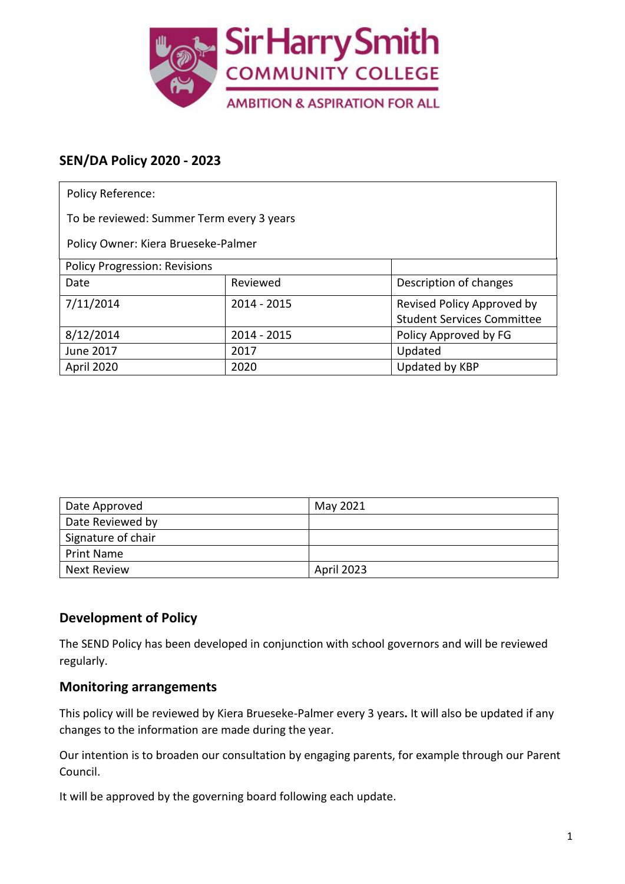

# **SEN/DA Policy 2020 - 2023**

| <b>Policy Reference:</b>                  |             |                                   |  |  |
|-------------------------------------------|-------------|-----------------------------------|--|--|
| To be reviewed: Summer Term every 3 years |             |                                   |  |  |
| Policy Owner: Kiera Brueseke-Palmer       |             |                                   |  |  |
| <b>Policy Progression: Revisions</b>      |             |                                   |  |  |
| Date                                      | Reviewed    | Description of changes            |  |  |
| 7/11/2014                                 | 2014 - 2015 | Revised Policy Approved by        |  |  |
|                                           |             | <b>Student Services Committee</b> |  |  |
| 8/12/2014                                 | 2014 - 2015 | Policy Approved by FG             |  |  |
| June 2017                                 | 2017        | Updated                           |  |  |
| April 2020                                | 2020        | Updated by KBP                    |  |  |

| Date Approved      | May 2021   |
|--------------------|------------|
| Date Reviewed by   |            |
| Signature of chair |            |
| <b>Print Name</b>  |            |
| Next Review        | April 2023 |

## **Development of Policy**

The SEND Policy has been developed in conjunction with school governors and will be reviewed regularly.

### **Monitoring arrangements**

This policy will be reviewed by Kiera Brueseke-Palmer every 3 years**.** It will also be updated if any changes to the information are made during the year.

Our intention is to broaden our consultation by engaging parents, for example through our Parent Council.

It will be approved by the governing board following each update.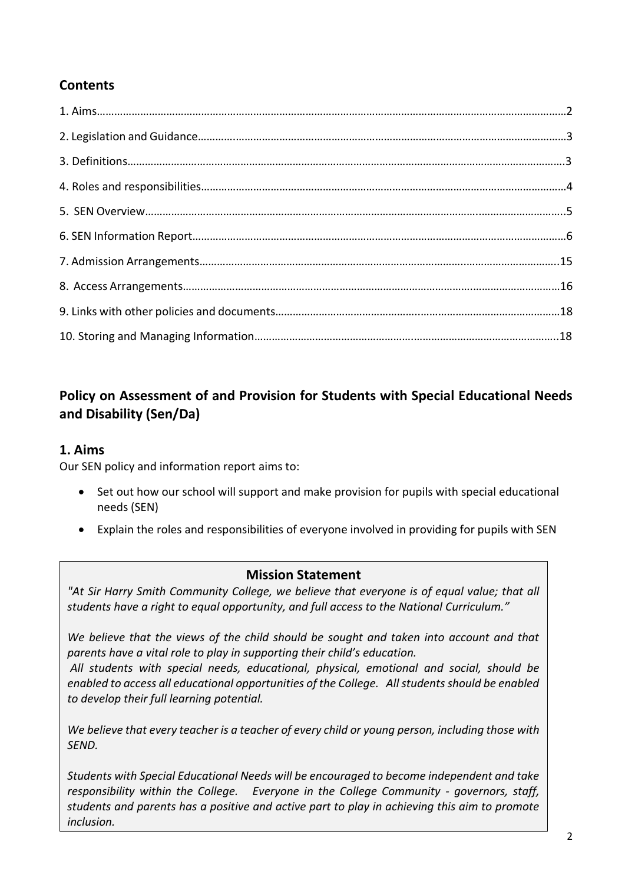# **Contents**

# **Policy on Assessment of and Provision for Students with Special Educational Needs and Disability (Sen/Da)**

### **1. Aims**

Our SEN policy and information report aims to:

- Set out how our school will support and make provision for pupils with special educational needs (SEN)
- Explain the roles and responsibilities of everyone involved in providing for pupils with SEN

### **Mission Statement**

*"At Sir Harry Smith Community College, we believe that everyone is of equal value; that all students have a right to equal opportunity, and full access to the National Curriculum."* 

*We believe that the views of the child should be sought and taken into account and that parents have a vital role to play in supporting their child's education.* 

*All students with special needs, educational, physical, emotional and social, should be enabled to access all educational opportunities of the College. All students should be enabled to develop their full learning potential.* 

*We believe that every teacher is a teacher of every child or young person, including those with SEND.* 

*Students with Special Educational Needs will be encouraged to become independent and take responsibility within the College. Everyone in the College Community - governors, staff, students and parents has a positive and active part to play in achieving this aim to promote inclusion.*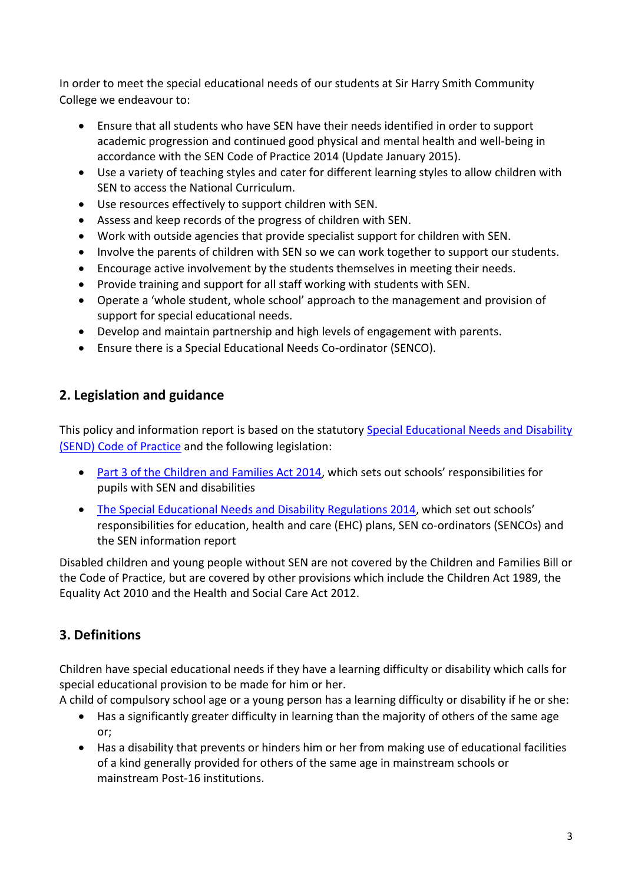In order to meet the special educational needs of our students at Sir Harry Smith Community College we endeavour to:

- Ensure that all students who have SEN have their needs identified in order to support academic progression and continued good physical and mental health and well-being in accordance with the SEN Code of Practice 2014 (Update January 2015).
- Use a variety of teaching styles and cater for different learning styles to allow children with SEN to access the National Curriculum.
- Use resources effectively to support children with SEN.
- Assess and keep records of the progress of children with SEN.
- Work with outside agencies that provide specialist support for children with SEN.
- Involve the parents of children with SEN so we can work together to support our students.
- Encourage active involvement by the students themselves in meeting their needs.
- Provide training and support for all staff working with students with SEN.
- Operate a 'whole student, whole school' approach to the management and provision of support for special educational needs.
- Develop and maintain partnership and high levels of engagement with parents.
- Ensure there is a Special Educational Needs Co-ordinator (SENCO).

# **2. Legislation and guidance**

This policy and information report is based on the statutory Special Educational Needs and Disability [\(SEND\) Code of Practice](https://www.gov.uk/government/uploads/system/uploads/attachment_data/file/398815/SEND_Code_of_Practice_January_2015.pdf) and the following legislation:

- [Part 3 of the Children and Families Act 2014](http://www.legislation.gov.uk/ukpga/2014/6/part/3), which sets out schools' responsibilities for pupils with SEN and disabilities
- [The Special Educational Needs and Disability Regulations 2014](http://www.legislation.gov.uk/uksi/2014/1530/contents/made), which set out schools' responsibilities for education, health and care (EHC) plans, SEN co-ordinators (SENCOs) and the SEN information report

Disabled children and young people without SEN are not covered by the Children and Families Bill or the Code of Practice, but are covered by other provisions which include the Children Act 1989, the Equality Act 2010 and the Health and Social Care Act 2012.

# **3. Definitions**

Children have special educational needs if they have a learning difficulty or disability which calls for special educational provision to be made for him or her.

A child of compulsory school age or a young person has a learning difficulty or disability if he or she:

- Has a significantly greater difficulty in learning than the majority of others of the same age or;
- Has a disability that prevents or hinders him or her from making use of educational facilities of a kind generally provided for others of the same age in mainstream schools or mainstream Post-16 institutions.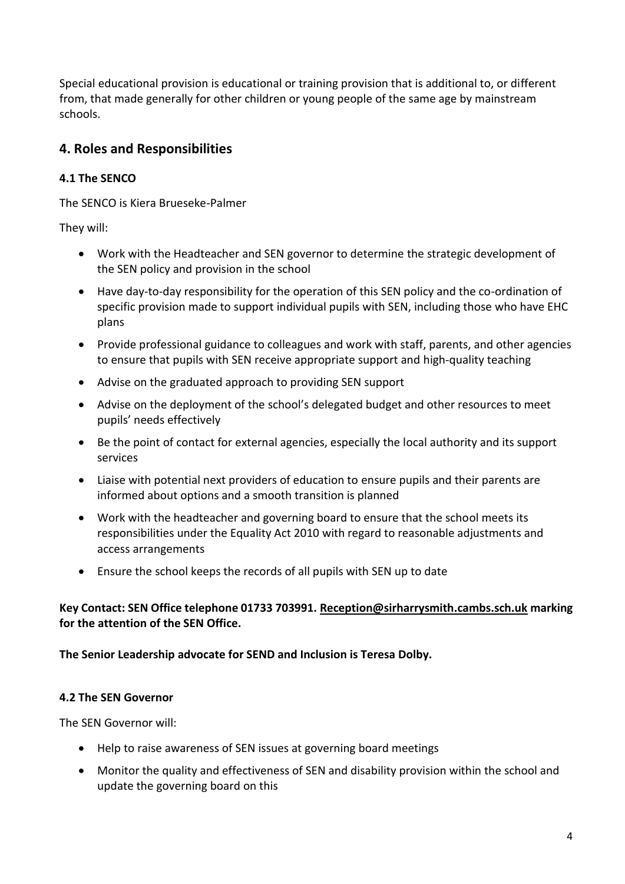Special educational provision is educational or training provision that is additional to, or different from, that made generally for other children or young people of the same age by mainstream schools.

## **4. Roles and Responsibilities**

### **4.1 The SENCO**

The SENCO is Kiera Brueseke-Palmer

They will:

- Work with the Headteacher and SEN governor to determine the strategic development of the SEN policy and provision in the school
- Have day-to-day responsibility for the operation of this SEN policy and the co-ordination of specific provision made to support individual pupils with SEN, including those who have EHC plans
- Provide professional guidance to colleagues and work with staff, parents, and other agencies to ensure that pupils with SEN receive appropriate support and high-quality teaching
- Advise on the graduated approach to providing SEN support
- Advise on the deployment of the school's delegated budget and other resources to meet pupils' needs effectively
- Be the point of contact for external agencies, especially the local authority and its support services
- Liaise with potential next providers of education to ensure pupils and their parents are informed about options and a smooth transition is planned
- Work with the headteacher and governing board to ensure that the school meets its responsibilities under the Equality Act 2010 with regard to reasonable adjustments and access arrangements
- Ensure the school keeps the records of all pupils with SEN up to date

#### **Key Contact: SEN Office telephone 01733 703991. Reception@sirharrysmith.cambs.sch.uk marking for the attention of the SEN Office.**

#### **The Senior Leadership advocate for SEND and Inclusion is Teresa Dolby.**

#### **4.2 The SEN Governor**

The SEN Governor will:

- Help to raise awareness of SEN issues at governing board meetings
- Monitor the quality and effectiveness of SEN and disability provision within the school and update the governing board on this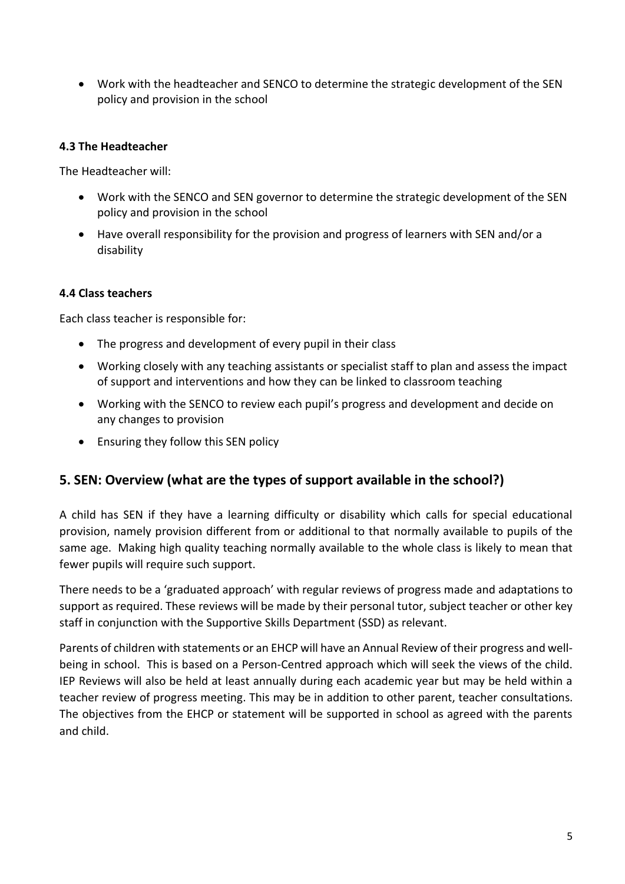• Work with the headteacher and SENCO to determine the strategic development of the SEN policy and provision in the school

#### **4.3 The Headteacher**

The Headteacher will:

- Work with the SENCO and SEN governor to determine the strategic development of the SEN policy and provision in the school
- Have overall responsibility for the provision and progress of learners with SEN and/or a disability

#### **4.4 Class teachers**

Each class teacher is responsible for:

- The progress and development of every pupil in their class
- Working closely with any teaching assistants or specialist staff to plan and assess the impact of support and interventions and how they can be linked to classroom teaching
- Working with the SENCO to review each pupil's progress and development and decide on any changes to provision
- Ensuring they follow this SEN policy

### **5. SEN: Overview (what are the types of support available in the school?)**

A child has SEN if they have a learning difficulty or disability which calls for special educational provision, namely provision different from or additional to that normally available to pupils of the same age. Making high quality teaching normally available to the whole class is likely to mean that fewer pupils will require such support.

There needs to be a 'graduated approach' with regular reviews of progress made and adaptations to support as required. These reviews will be made by their personal tutor, subject teacher or other key staff in conjunction with the Supportive Skills Department (SSD) as relevant.

Parents of children with statements or an EHCP will have an Annual Review of their progress and wellbeing in school. This is based on a Person-Centred approach which will seek the views of the child. IEP Reviews will also be held at least annually during each academic year but may be held within a teacher review of progress meeting. This may be in addition to other parent, teacher consultations. The objectives from the EHCP or statement will be supported in school as agreed with the parents and child.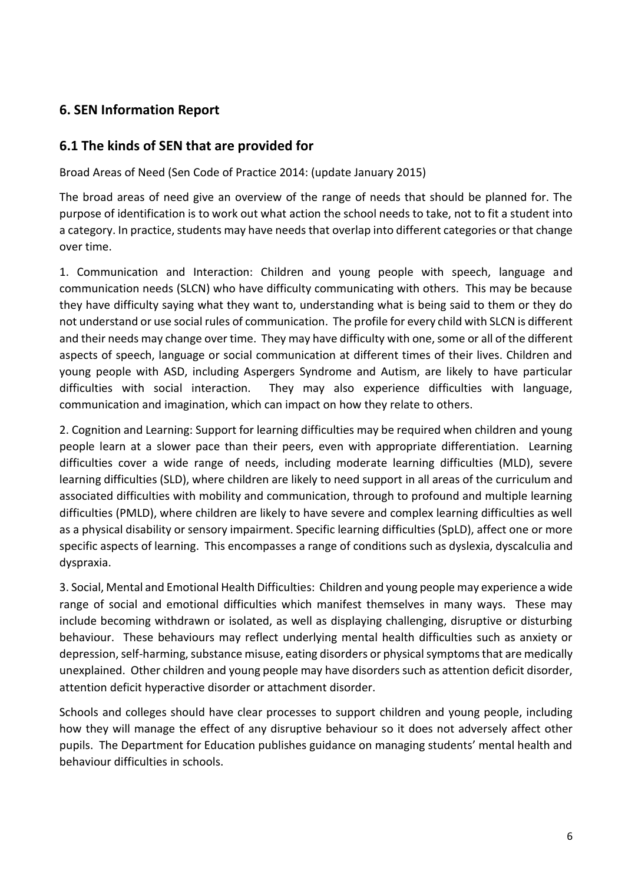# **6. SEN Information Report**

### **6.1 The kinds of SEN that are provided for**

Broad Areas of Need (Sen Code of Practice 2014: (update January 2015)

The broad areas of need give an overview of the range of needs that should be planned for. The purpose of identification is to work out what action the school needs to take, not to fit a student into a category. In practice, students may have needs that overlap into different categories or that change over time.

1. Communication and Interaction: Children and young people with speech, language and communication needs (SLCN) who have difficulty communicating with others. This may be because they have difficulty saying what they want to, understanding what is being said to them or they do not understand or use social rules of communication. The profile for every child with SLCN is different and their needs may change over time. They may have difficulty with one, some or all of the different aspects of speech, language or social communication at different times of their lives. Children and young people with ASD, including Aspergers Syndrome and Autism, are likely to have particular difficulties with social interaction. They may also experience difficulties with language, communication and imagination, which can impact on how they relate to others.

2. Cognition and Learning: Support for learning difficulties may be required when children and young people learn at a slower pace than their peers, even with appropriate differentiation. Learning difficulties cover a wide range of needs, including moderate learning difficulties (MLD), severe learning difficulties (SLD), where children are likely to need support in all areas of the curriculum and associated difficulties with mobility and communication, through to profound and multiple learning difficulties (PMLD), where children are likely to have severe and complex learning difficulties as well as a physical disability or sensory impairment. Specific learning difficulties (SpLD), affect one or more specific aspects of learning. This encompasses a range of conditions such as dyslexia, dyscalculia and dyspraxia.

3. Social, Mental and Emotional Health Difficulties: Children and young people may experience a wide range of social and emotional difficulties which manifest themselves in many ways. These may include becoming withdrawn or isolated, as well as displaying challenging, disruptive or disturbing behaviour. These behaviours may reflect underlying mental health difficulties such as anxiety or depression, self-harming, substance misuse, eating disorders or physical symptoms that are medically unexplained. Other children and young people may have disorders such as attention deficit disorder, attention deficit hyperactive disorder or attachment disorder.

Schools and colleges should have clear processes to support children and young people, including how they will manage the effect of any disruptive behaviour so it does not adversely affect other pupils. The Department for Education publishes guidance on managing students' mental health and behaviour difficulties in schools.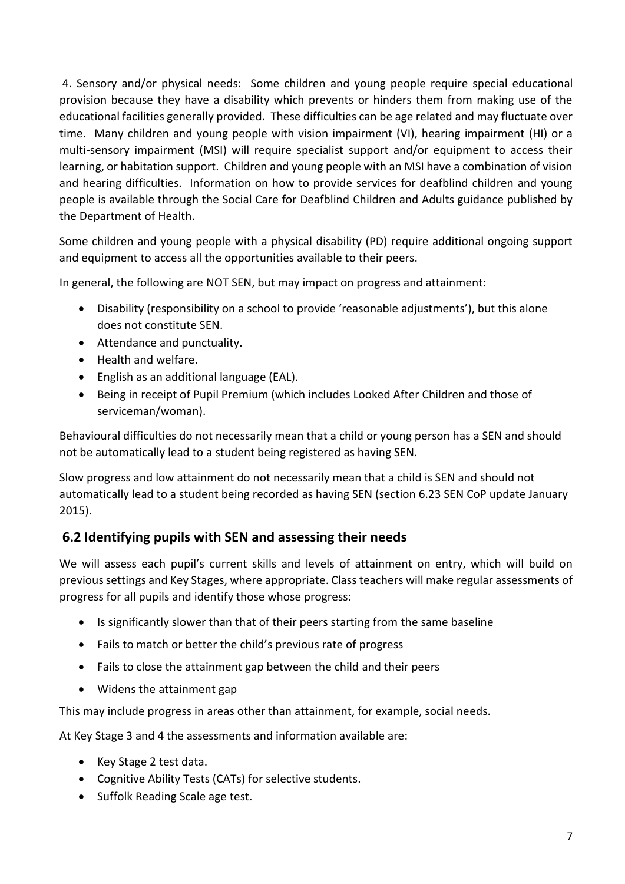4. Sensory and/or physical needs: Some children and young people require special educational provision because they have a disability which prevents or hinders them from making use of the educational facilities generally provided. These difficulties can be age related and may fluctuate over time. Many children and young people with vision impairment (VI), hearing impairment (HI) or a multi-sensory impairment (MSI) will require specialist support and/or equipment to access their learning, or habitation support. Children and young people with an MSI have a combination of vision and hearing difficulties. Information on how to provide services for deafblind children and young people is available through the Social Care for Deafblind Children and Adults guidance published by the Department of Health.

Some children and young people with a physical disability (PD) require additional ongoing support and equipment to access all the opportunities available to their peers.

In general, the following are NOT SEN, but may impact on progress and attainment:

- Disability (responsibility on a school to provide 'reasonable adjustments'), but this alone does not constitute SEN.
- Attendance and punctuality.
- Health and welfare.
- English as an additional language (EAL).
- Being in receipt of Pupil Premium (which includes Looked After Children and those of serviceman/woman).

Behavioural difficulties do not necessarily mean that a child or young person has a SEN and should not be automatically lead to a student being registered as having SEN.

Slow progress and low attainment do not necessarily mean that a child is SEN and should not automatically lead to a student being recorded as having SEN (section 6.23 SEN CoP update January 2015).

# **6.2 Identifying pupils with SEN and assessing their needs**

We will assess each pupil's current skills and levels of attainment on entry, which will build on previous settings and Key Stages, where appropriate. Class teachers will make regular assessments of progress for all pupils and identify those whose progress:

- Is significantly slower than that of their peers starting from the same baseline
- Fails to match or better the child's previous rate of progress
- Fails to close the attainment gap between the child and their peers
- Widens the attainment gap

This may include progress in areas other than attainment, for example, social needs.

At Key Stage 3 and 4 the assessments and information available are:

- Key Stage 2 test data.
- Cognitive Ability Tests (CATs) for selective students.
- Suffolk Reading Scale age test.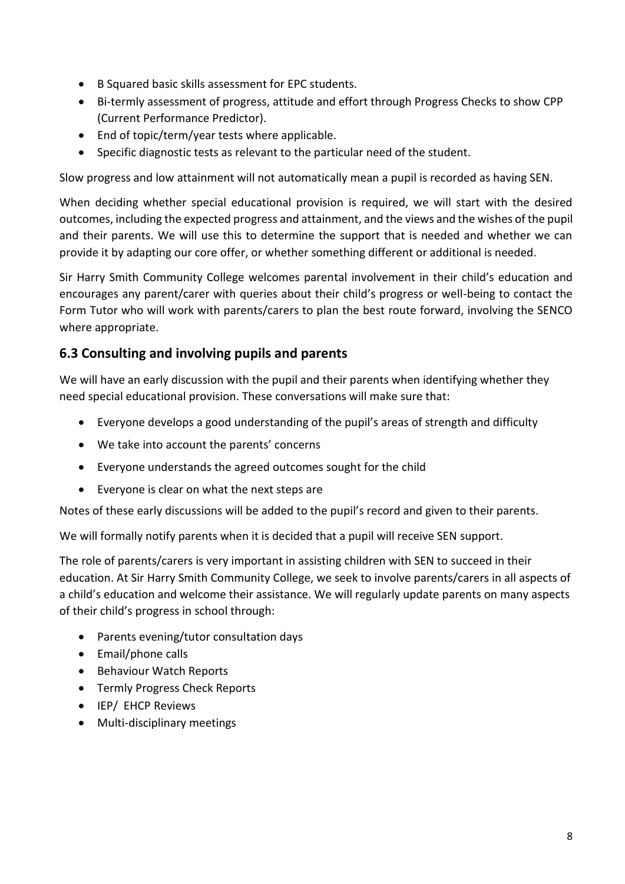- B Squared basic skills assessment for EPC students.
- Bi-termly assessment of progress, attitude and effort through Progress Checks to show CPP (Current Performance Predictor).
- End of topic/term/year tests where applicable.
- Specific diagnostic tests as relevant to the particular need of the student.

Slow progress and low attainment will not automatically mean a pupil is recorded as having SEN.

When deciding whether special educational provision is required, we will start with the desired outcomes, including the expected progress and attainment, and the views and the wishes of the pupil and their parents. We will use this to determine the support that is needed and whether we can provide it by adapting our core offer, or whether something different or additional is needed.

Sir Harry Smith Community College welcomes parental involvement in their child's education and encourages any parent/carer with queries about their child's progress or well-being to contact the Form Tutor who will work with parents/carers to plan the best route forward, involving the SENCO where appropriate.

## **6.3 Consulting and involving pupils and parents**

We will have an early discussion with the pupil and their parents when identifying whether they need special educational provision. These conversations will make sure that:

- Everyone develops a good understanding of the pupil's areas of strength and difficulty
- We take into account the parents' concerns
- Everyone understands the agreed outcomes sought for the child
- Everyone is clear on what the next steps are

Notes of these early discussions will be added to the pupil's record and given to their parents.

We will formally notify parents when it is decided that a pupil will receive SEN support.

The role of parents/carers is very important in assisting children with SEN to succeed in their education. At Sir Harry Smith Community College, we seek to involve parents/carers in all aspects of a child's education and welcome their assistance. We will regularly update parents on many aspects of their child's progress in school through:

- Parents evening/tutor consultation days
- Email/phone calls
- Behaviour Watch Reports
- Termly Progress Check Reports
- IEP/ EHCP Reviews
- Multi-disciplinary meetings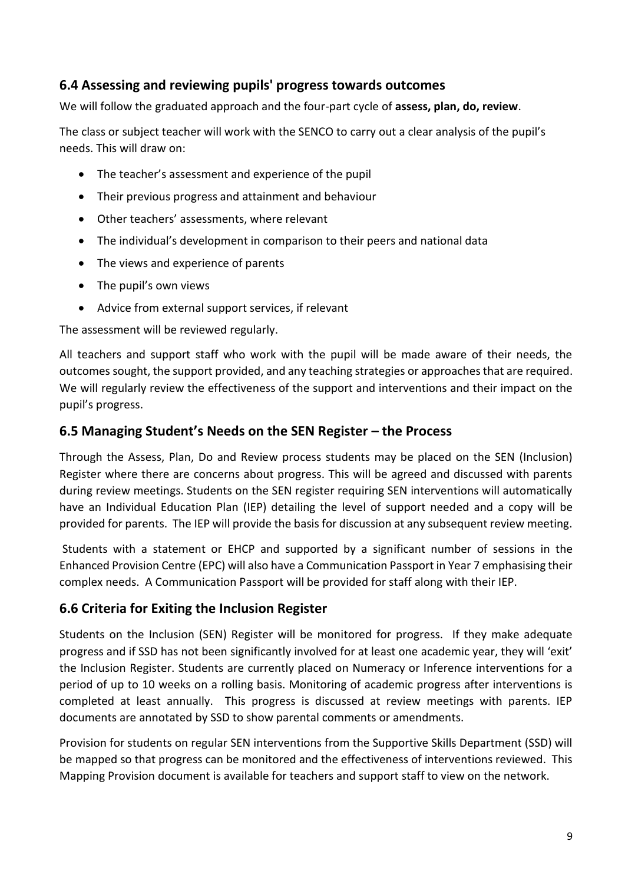## **6.4 Assessing and reviewing pupils' progress towards outcomes**

We will follow the graduated approach and the four-part cycle of **assess, plan, do, review**.

The class or subject teacher will work with the SENCO to carry out a clear analysis of the pupil's needs. This will draw on:

- The teacher's assessment and experience of the pupil
- Their previous progress and attainment and behaviour
- Other teachers' assessments, where relevant
- The individual's development in comparison to their peers and national data
- The views and experience of parents
- The pupil's own views
- Advice from external support services, if relevant

The assessment will be reviewed regularly.

All teachers and support staff who work with the pupil will be made aware of their needs, the outcomes sought, the support provided, and any teaching strategies or approaches that are required. We will regularly review the effectiveness of the support and interventions and their impact on the pupil's progress.

### **6.5 Managing Student's Needs on the SEN Register – the Process**

Through the Assess, Plan, Do and Review process students may be placed on the SEN (Inclusion) Register where there are concerns about progress. This will be agreed and discussed with parents during review meetings. Students on the SEN register requiring SEN interventions will automatically have an Individual Education Plan (IEP) detailing the level of support needed and a copy will be provided for parents. The IEP will provide the basis for discussion at any subsequent review meeting.

Students with a statement or EHCP and supported by a significant number of sessions in the Enhanced Provision Centre (EPC) will also have a Communication Passport in Year 7 emphasising their complex needs. A Communication Passport will be provided for staff along with their IEP.

## **6.6 Criteria for Exiting the Inclusion Register**

Students on the Inclusion (SEN) Register will be monitored for progress. If they make adequate progress and if SSD has not been significantly involved for at least one academic year, they will 'exit' the Inclusion Register. Students are currently placed on Numeracy or Inference interventions for a period of up to 10 weeks on a rolling basis. Monitoring of academic progress after interventions is completed at least annually. This progress is discussed at review meetings with parents. IEP documents are annotated by SSD to show parental comments or amendments.

Provision for students on regular SEN interventions from the Supportive Skills Department (SSD) will be mapped so that progress can be monitored and the effectiveness of interventions reviewed. This Mapping Provision document is available for teachers and support staff to view on the network.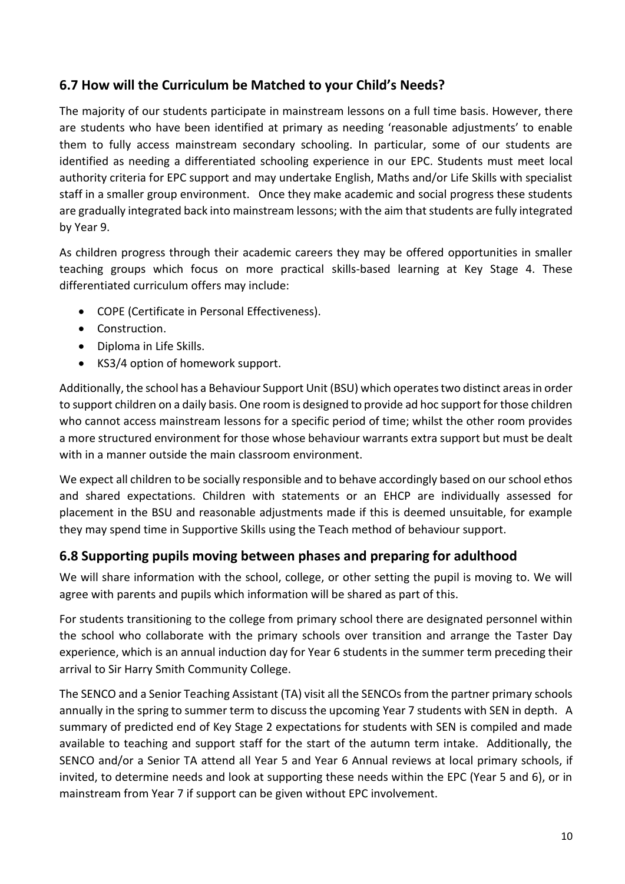# **6.7 How will the Curriculum be Matched to your Child's Needs?**

The majority of our students participate in mainstream lessons on a full time basis. However, there are students who have been identified at primary as needing 'reasonable adjustments' to enable them to fully access mainstream secondary schooling. In particular, some of our students are identified as needing a differentiated schooling experience in our EPC. Students must meet local authority criteria for EPC support and may undertake English, Maths and/or Life Skills with specialist staff in a smaller group environment. Once they make academic and social progress these students are gradually integrated back into mainstream lessons; with the aim that students are fully integrated by Year 9.

As children progress through their academic careers they may be offered opportunities in smaller teaching groups which focus on more practical skills-based learning at Key Stage 4. These differentiated curriculum offers may include:

- COPE (Certificate in Personal Effectiveness).
- Construction.
- Diploma in Life Skills.
- KS3/4 option of homework support.

Additionally, the school has a Behaviour Support Unit (BSU) which operates two distinct areas in order to support children on a daily basis. One room is designed to provide ad hoc support for those children who cannot access mainstream lessons for a specific period of time; whilst the other room provides a more structured environment for those whose behaviour warrants extra support but must be dealt with in a manner outside the main classroom environment.

We expect all children to be socially responsible and to behave accordingly based on our school ethos and shared expectations. Children with statements or an EHCP are individually assessed for placement in the BSU and reasonable adjustments made if this is deemed unsuitable, for example they may spend time in Supportive Skills using the Teach method of behaviour support.

## **6.8 Supporting pupils moving between phases and preparing for adulthood**

We will share information with the school, college, or other setting the pupil is moving to. We will agree with parents and pupils which information will be shared as part of this.

For students transitioning to the college from primary school there are designated personnel within the school who collaborate with the primary schools over transition and arrange the Taster Day experience, which is an annual induction day for Year 6 students in the summer term preceding their arrival to Sir Harry Smith Community College.

The SENCO and a Senior Teaching Assistant (TA) visit all the SENCOs from the partner primary schools annually in the spring to summer term to discuss the upcoming Year 7 students with SEN in depth. A summary of predicted end of Key Stage 2 expectations for students with SEN is compiled and made available to teaching and support staff for the start of the autumn term intake. Additionally, the SENCO and/or a Senior TA attend all Year 5 and Year 6 Annual reviews at local primary schools, if invited, to determine needs and look at supporting these needs within the EPC (Year 5 and 6), or in mainstream from Year 7 if support can be given without EPC involvement.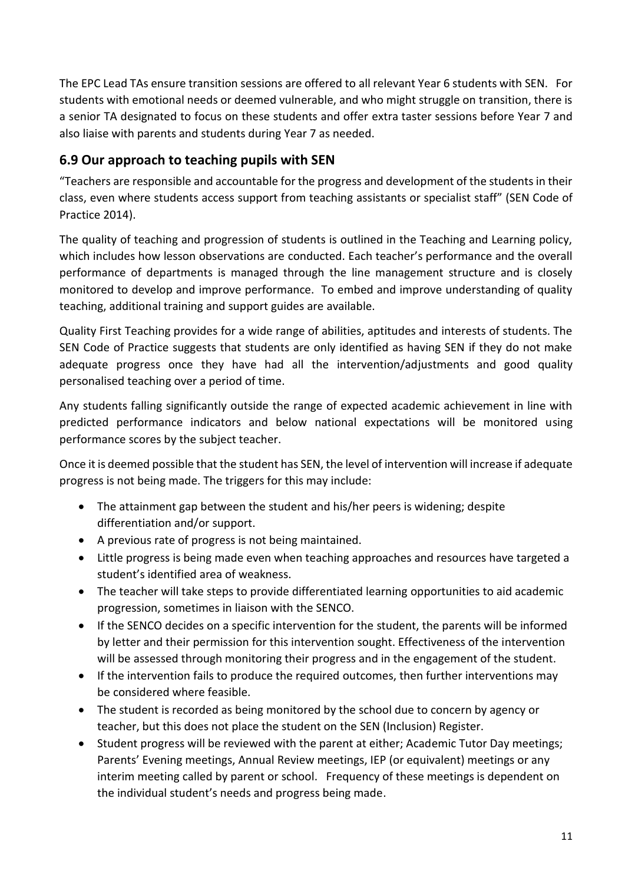The EPC Lead TAs ensure transition sessions are offered to all relevant Year 6 students with SEN. For students with emotional needs or deemed vulnerable, and who might struggle on transition, there is a senior TA designated to focus on these students and offer extra taster sessions before Year 7 and also liaise with parents and students during Year 7 as needed.

# **6.9 Our approach to teaching pupils with SEN**

"Teachers are responsible and accountable for the progress and development of the students in their class, even where students access support from teaching assistants or specialist staff" (SEN Code of Practice 2014).

The quality of teaching and progression of students is outlined in the Teaching and Learning policy, which includes how lesson observations are conducted. Each teacher's performance and the overall performance of departments is managed through the line management structure and is closely monitored to develop and improve performance. To embed and improve understanding of quality teaching, additional training and support guides are available.

Quality First Teaching provides for a wide range of abilities, aptitudes and interests of students. The SEN Code of Practice suggests that students are only identified as having SEN if they do not make adequate progress once they have had all the intervention/adjustments and good quality personalised teaching over a period of time.

Any students falling significantly outside the range of expected academic achievement in line with predicted performance indicators and below national expectations will be monitored using performance scores by the subject teacher.

Once it is deemed possible that the student has SEN, the level of intervention will increase if adequate progress is not being made. The triggers for this may include:

- The attainment gap between the student and his/her peers is widening; despite differentiation and/or support.
- A previous rate of progress is not being maintained.
- Little progress is being made even when teaching approaches and resources have targeted a student's identified area of weakness.
- The teacher will take steps to provide differentiated learning opportunities to aid academic progression, sometimes in liaison with the SENCO.
- If the SENCO decides on a specific intervention for the student, the parents will be informed by letter and their permission for this intervention sought. Effectiveness of the intervention will be assessed through monitoring their progress and in the engagement of the student.
- If the intervention fails to produce the required outcomes, then further interventions may be considered where feasible.
- The student is recorded as being monitored by the school due to concern by agency or teacher, but this does not place the student on the SEN (Inclusion) Register.
- Student progress will be reviewed with the parent at either; Academic Tutor Day meetings; Parents' Evening meetings, Annual Review meetings, IEP (or equivalent) meetings or any interim meeting called by parent or school. Frequency of these meetings is dependent on the individual student's needs and progress being made.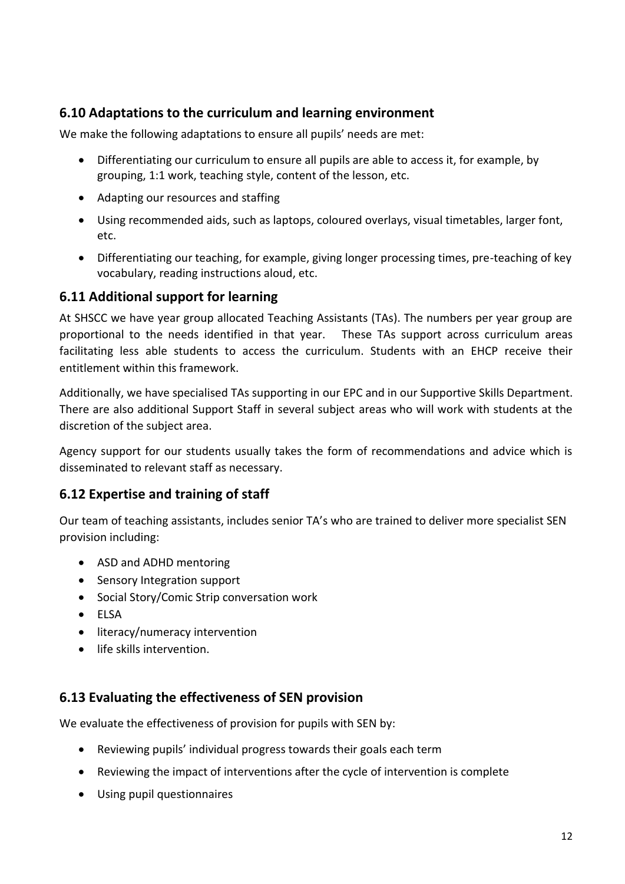# **6.10 Adaptations to the curriculum and learning environment**

We make the following adaptations to ensure all pupils' needs are met:

- Differentiating our curriculum to ensure all pupils are able to access it, for example, by grouping, 1:1 work, teaching style, content of the lesson, etc.
- Adapting our resources and staffing
- Using recommended aids, such as laptops, coloured overlays, visual timetables, larger font, etc.
- Differentiating our teaching, for example, giving longer processing times, pre-teaching of key vocabulary, reading instructions aloud, etc.

## **6.11 Additional support for learning**

At SHSCC we have year group allocated Teaching Assistants (TAs). The numbers per year group are proportional to the needs identified in that year. These TAs support across curriculum areas facilitating less able students to access the curriculum. Students with an EHCP receive their entitlement within this framework.

Additionally, we have specialised TAs supporting in our EPC and in our Supportive Skills Department. There are also additional Support Staff in several subject areas who will work with students at the discretion of the subject area.

Agency support for our students usually takes the form of recommendations and advice which is disseminated to relevant staff as necessary.

## **6.12 Expertise and training of staff**

Our team of teaching assistants, includes senior TA's who are trained to deliver more specialist SEN provision including:

- ASD and ADHD mentoring
- Sensory Integration support
- Social Story/Comic Strip conversation work
- ELSA
- literacy/numeracy intervention
- life skills intervention.

## **6.13 Evaluating the effectiveness of SEN provision**

We evaluate the effectiveness of provision for pupils with SEN by:

- Reviewing pupils' individual progress towards their goals each term
- Reviewing the impact of interventions after the cycle of intervention is complete
- Using pupil questionnaires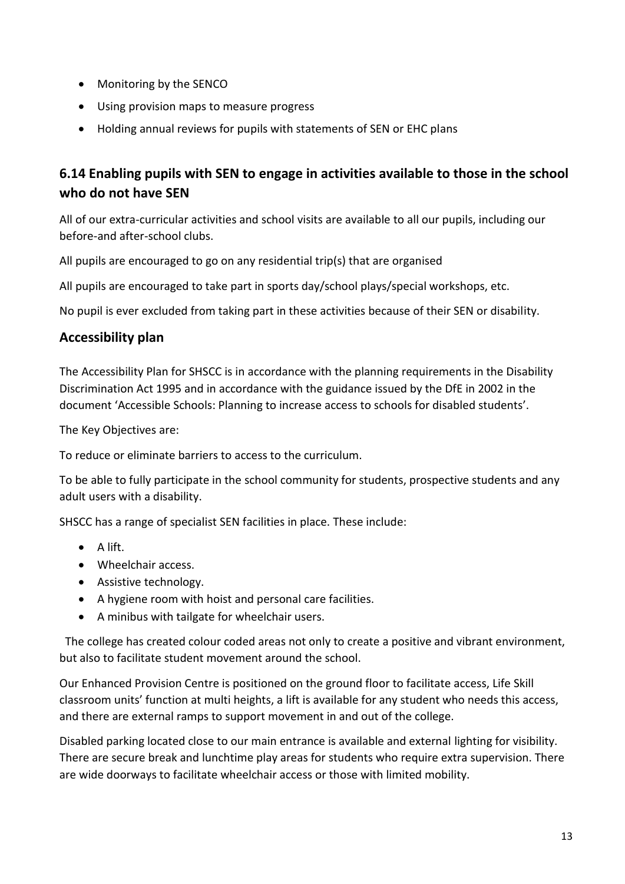- Monitoring by the SENCO
- Using provision maps to measure progress
- Holding annual reviews for pupils with statements of SEN or EHC plans

# **6.14 Enabling pupils with SEN to engage in activities available to those in the school who do not have SEN**

All of our extra-curricular activities and school visits are available to all our pupils, including our before-and after-school clubs.

All pupils are encouraged to go on any residential trip(s) that are organised

All pupils are encouraged to take part in sports day/school plays/special workshops, etc.

No pupil is ever excluded from taking part in these activities because of their SEN or disability.

### **Accessibility plan**

The Accessibility Plan for SHSCC is in accordance with the planning requirements in the Disability Discrimination Act 1995 and in accordance with the guidance issued by the DfE in 2002 in the document 'Accessible Schools: Planning to increase access to schools for disabled students'.

The Key Objectives are:

To reduce or eliminate barriers to access to the curriculum.

To be able to fully participate in the school community for students, prospective students and any adult users with a disability.

SHSCC has a range of specialist SEN facilities in place. These include:

- A lift.
- Wheelchair access.
- Assistive technology.
- A hygiene room with hoist and personal care facilities.
- A minibus with tailgate for wheelchair users.

 The college has created colour coded areas not only to create a positive and vibrant environment, but also to facilitate student movement around the school.

Our Enhanced Provision Centre is positioned on the ground floor to facilitate access, Life Skill classroom units' function at multi heights, a lift is available for any student who needs this access, and there are external ramps to support movement in and out of the college.

Disabled parking located close to our main entrance is available and external lighting for visibility. There are secure break and lunchtime play areas for students who require extra supervision. There are wide doorways to facilitate wheelchair access or those with limited mobility.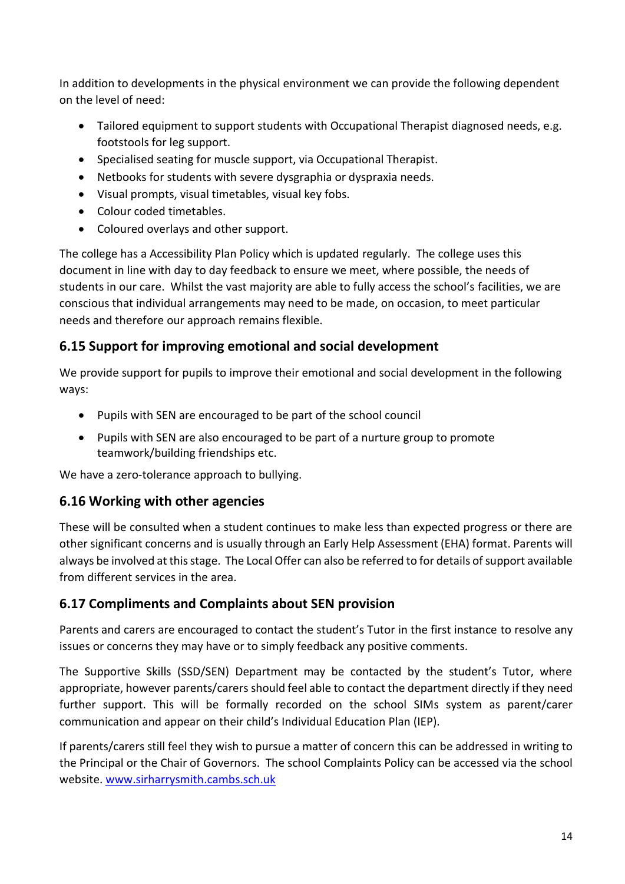In addition to developments in the physical environment we can provide the following dependent on the level of need:

- Tailored equipment to support students with Occupational Therapist diagnosed needs, e.g. footstools for leg support.
- Specialised seating for muscle support, via Occupational Therapist.
- Netbooks for students with severe dysgraphia or dyspraxia needs.
- Visual prompts, visual timetables, visual key fobs.
- Colour coded timetables.
- Coloured overlays and other support.

The college has a Accessibility Plan Policy which is updated regularly. The college uses this document in line with day to day feedback to ensure we meet, where possible, the needs of students in our care. Whilst the vast majority are able to fully access the school's facilities, we are conscious that individual arrangements may need to be made, on occasion, to meet particular needs and therefore our approach remains flexible.

# **6.15 Support for improving emotional and social development**

We provide support for pupils to improve their emotional and social development in the following ways:

- Pupils with SEN are encouraged to be part of the school council
- Pupils with SEN are also encouraged to be part of a nurture group to promote teamwork/building friendships etc.

We have a zero-tolerance approach to bullying.

# **6.16 Working with other agencies**

These will be consulted when a student continues to make less than expected progress or there are other significant concerns and is usually through an Early Help Assessment (EHA) format. Parents will always be involved at this stage. The Local Offer can also be referred to for details of support available from different services in the area.

# **6.17 Compliments and Complaints about SEN provision**

Parents and carers are encouraged to contact the student's Tutor in the first instance to resolve any issues or concerns they may have or to simply feedback any positive comments.

The Supportive Skills (SSD/SEN) Department may be contacted by the student's Tutor, where appropriate, however parents/carers should feel able to contact the department directly if they need further support. This will be formally recorded on the school SIMs system as parent/carer communication and appear on their child's Individual Education Plan (IEP).

If parents/carers still feel they wish to pursue a matter of concern this can be addressed in writing to the Principal or the Chair of Governors. The school Complaints Policy can be accessed via the school website[. www.sirharrysmith.cambs.sch.uk](http://www.sirharrysmith.cambs.sch.uk/)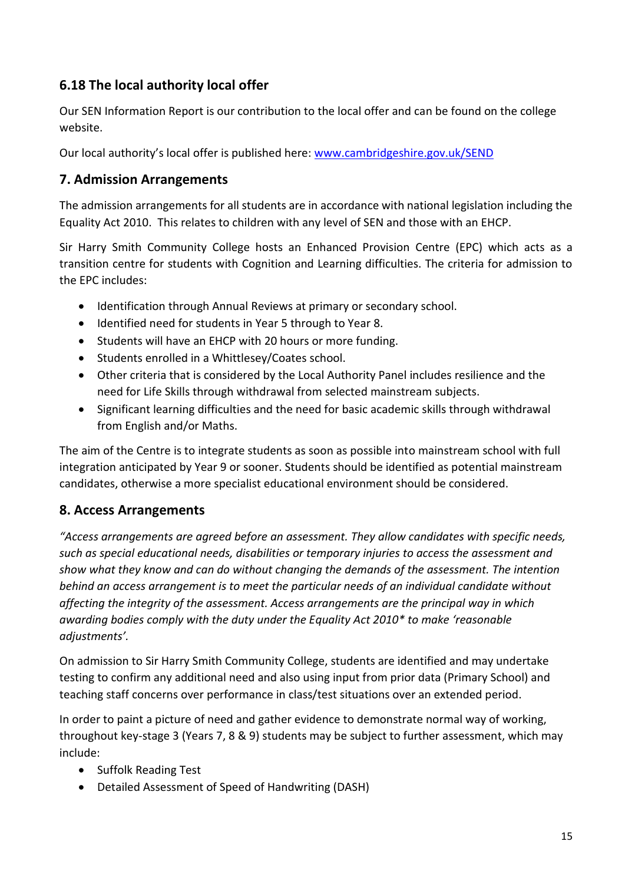# **6.18 The local authority local offer**

Our SEN Information Report is our contribution to the local offer and can be found on the college website.

Our local authority's local offer is published here: [www.cambridgeshire.gov.uk/SEND](http://www.cambridgeshire.gov.uk/SEND)

## **7. Admission Arrangements**

The admission arrangements for all students are in accordance with national legislation including the Equality Act 2010. This relates to children with any level of SEN and those with an EHCP.

Sir Harry Smith Community College hosts an Enhanced Provision Centre (EPC) which acts as a transition centre for students with Cognition and Learning difficulties. The criteria for admission to the EPC includes:

- Identification through Annual Reviews at primary or secondary school.
- Identified need for students in Year 5 through to Year 8.
- Students will have an EHCP with 20 hours or more funding.
- Students enrolled in a Whittlesey/Coates school.
- Other criteria that is considered by the Local Authority Panel includes resilience and the need for Life Skills through withdrawal from selected mainstream subjects.
- Significant learning difficulties and the need for basic academic skills through withdrawal from English and/or Maths.

The aim of the Centre is to integrate students as soon as possible into mainstream school with full integration anticipated by Year 9 or sooner. Students should be identified as potential mainstream candidates, otherwise a more specialist educational environment should be considered.

# **8. Access Arrangements**

*"Access arrangements are agreed before an assessment. They allow candidates with specific needs, such as special educational needs, disabilities or temporary injuries to access the assessment and show what they know and can do without changing the demands of the assessment. The intention behind an access arrangement is to meet the particular needs of an individual candidate without affecting the integrity of the assessment. Access arrangements are the principal way in which awarding bodies comply with the duty under the Equality Act 2010\* to make 'reasonable adjustments'.*

On admission to Sir Harry Smith Community College, students are identified and may undertake testing to confirm any additional need and also using input from prior data (Primary School) and teaching staff concerns over performance in class/test situations over an extended period.

In order to paint a picture of need and gather evidence to demonstrate normal way of working, throughout key-stage 3 (Years 7, 8 & 9) students may be subject to further assessment, which may include:

- Suffolk Reading Test
- Detailed Assessment of Speed of Handwriting (DASH)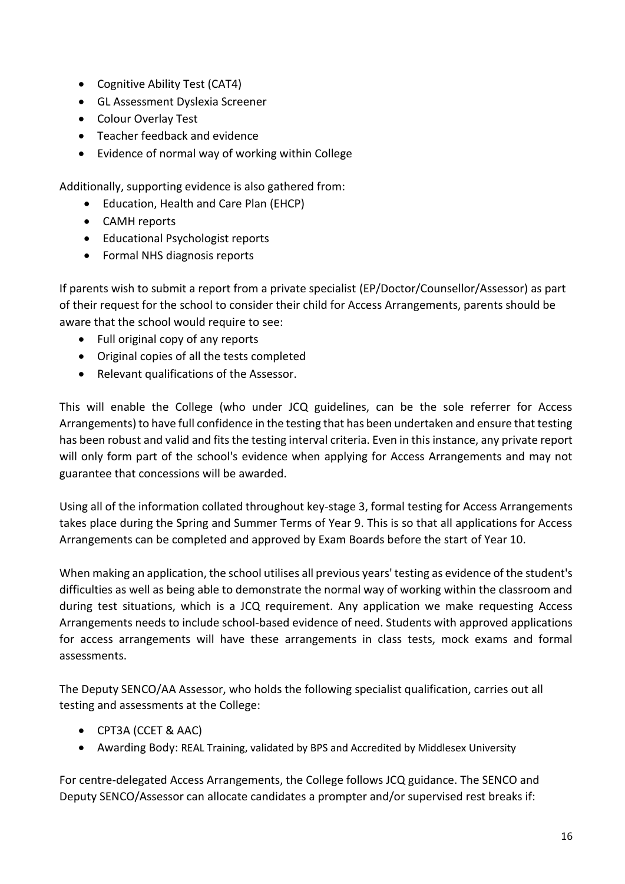- Cognitive Ability Test (CAT4)
- GL Assessment Dyslexia Screener
- Colour Overlay Test
- Teacher feedback and evidence
- Evidence of normal way of working within College

Additionally, supporting evidence is also gathered from:

- Education, Health and Care Plan (EHCP)
- CAMH reports
- Educational Psychologist reports
- Formal NHS diagnosis reports

If parents wish to submit a report from a private specialist (EP/Doctor/Counsellor/Assessor) as part of their request for the school to consider their child for Access Arrangements, parents should be aware that the school would require to see:

- Full original copy of any reports
- Original copies of all the tests completed
- Relevant qualifications of the Assessor.

This will enable the College (who under JCQ guidelines, can be the sole referrer for Access Arrangements) to have full confidence in the testing that has been undertaken and ensure that testing has been robust and valid and fits the testing interval criteria. Even in this instance, any private report will only form part of the school's evidence when applying for Access Arrangements and may not guarantee that concessions will be awarded.

Using all of the information collated throughout key-stage 3, formal testing for Access Arrangements takes place during the Spring and Summer Terms of Year 9. This is so that all applications for Access Arrangements can be completed and approved by Exam Boards before the start of Year 10.

When making an application, the school utilises all previous years' testing as evidence of the student's difficulties as well as being able to demonstrate the normal way of working within the classroom and during test situations, which is a JCQ requirement. Any application we make requesting Access Arrangements needs to include school-based evidence of need. Students with approved applications for access arrangements will have these arrangements in class tests, mock exams and formal assessments.

The Deputy SENCO/AA Assessor, who holds the following specialist qualification, carries out all testing and assessments at the College:

- CPT3A (CCET & AAC)
- Awarding Body: REAL Training, validated by BPS and Accredited by Middlesex University

For centre-delegated Access Arrangements, the College follows JCQ guidance. The SENCO and Deputy SENCO/Assessor can allocate candidates a prompter and/or supervised rest breaks if: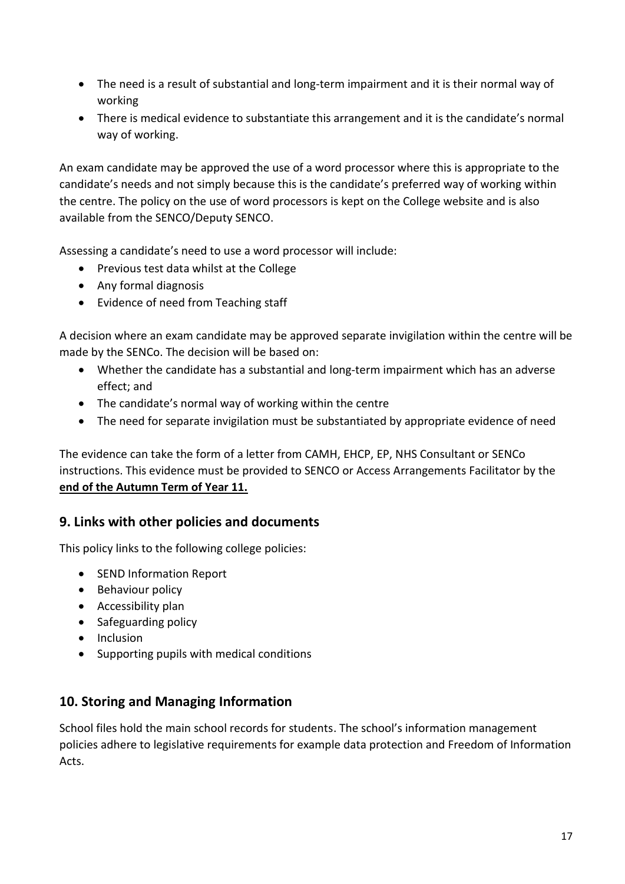- The need is a result of substantial and long-term impairment and it is their normal way of working
- There is medical evidence to substantiate this arrangement and it is the candidate's normal way of working.

An exam candidate may be approved the use of a word processor where this is appropriate to the candidate's needs and not simply because this is the candidate's preferred way of working within the centre. The policy on the use of word processors is kept on the College website and is also available from the SENCO/Deputy SENCO.

Assessing a candidate's need to use a word processor will include:

- Previous test data whilst at the College
- Any formal diagnosis
- Evidence of need from Teaching staff

A decision where an exam candidate may be approved separate invigilation within the centre will be made by the SENCo. The decision will be based on:

- Whether the candidate has a substantial and long-term impairment which has an adverse effect; and
- The candidate's normal way of working within the centre
- The need for separate invigilation must be substantiated by appropriate evidence of need

The evidence can take the form of a letter from CAMH, EHCP, EP, NHS Consultant or SENCo instructions. This evidence must be provided to SENCO or Access Arrangements Facilitator by the **end of the Autumn Term of Year 11.**

### **9. Links with other policies and documents**

This policy links to the following college policies:

- SEND Information Report
- Behaviour policy
- Accessibility plan
- Safeguarding policy
- Inclusion
- Supporting pupils with medical conditions

### **10. Storing and Managing Information**

School files hold the main school records for students. The school's information management policies adhere to legislative requirements for example data protection and Freedom of Information Acts.